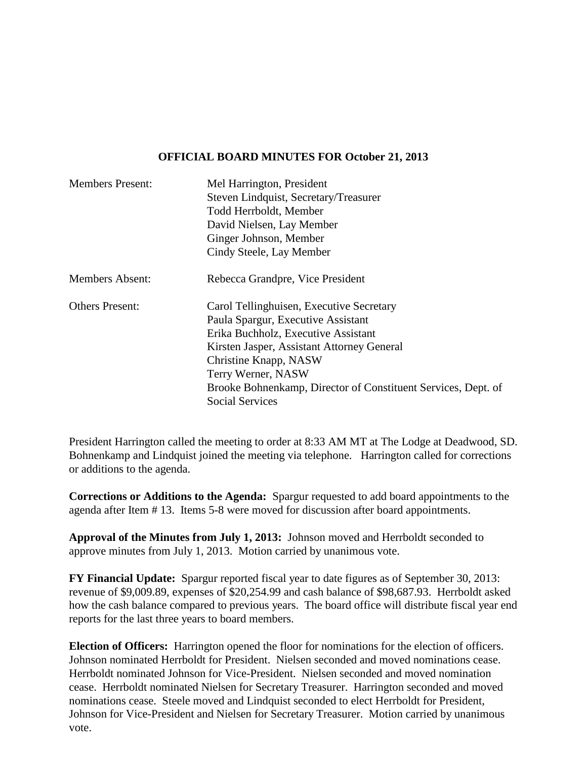#### **OFFICIAL BOARD MINUTES FOR October 21, 2013**

| <b>Members Present:</b> | Mel Harrington, President<br>Steven Lindquist, Secretary/Treasurer<br>Todd Herrboldt, Member<br>David Nielsen, Lay Member                                                                                                                                                                                     |
|-------------------------|---------------------------------------------------------------------------------------------------------------------------------------------------------------------------------------------------------------------------------------------------------------------------------------------------------------|
|                         | Ginger Johnson, Member<br>Cindy Steele, Lay Member                                                                                                                                                                                                                                                            |
| <b>Members Absent:</b>  | Rebecca Grandpre, Vice President                                                                                                                                                                                                                                                                              |
| <b>Others Present:</b>  | Carol Tellinghuisen, Executive Secretary<br>Paula Spargur, Executive Assistant<br>Erika Buchholz, Executive Assistant<br>Kirsten Jasper, Assistant Attorney General<br>Christine Knapp, NASW<br>Terry Werner, NASW<br>Brooke Bohnenkamp, Director of Constituent Services, Dept. of<br><b>Social Services</b> |

President Harrington called the meeting to order at 8:33 AM MT at The Lodge at Deadwood, SD. Bohnenkamp and Lindquist joined the meeting via telephone. Harrington called for corrections or additions to the agenda.

**Corrections or Additions to the Agenda:** Spargur requested to add board appointments to the agenda after Item # 13. Items 5-8 were moved for discussion after board appointments.

**Approval of the Minutes from July 1, 2013:** Johnson moved and Herrboldt seconded to approve minutes from July 1, 2013. Motion carried by unanimous vote.

**FY Financial Update:** Spargur reported fiscal year to date figures as of September 30, 2013: revenue of \$9,009.89, expenses of \$20,254.99 and cash balance of \$98,687.93. Herrboldt asked how the cash balance compared to previous years. The board office will distribute fiscal year end reports for the last three years to board members.

**Election of Officers:** Harrington opened the floor for nominations for the election of officers. Johnson nominated Herrboldt for President. Nielsen seconded and moved nominations cease. Herrboldt nominated Johnson for Vice-President. Nielsen seconded and moved nomination cease. Herrboldt nominated Nielsen for Secretary Treasurer. Harrington seconded and moved nominations cease. Steele moved and Lindquist seconded to elect Herrboldt for President, Johnson for Vice-President and Nielsen for Secretary Treasurer. Motion carried by unanimous vote.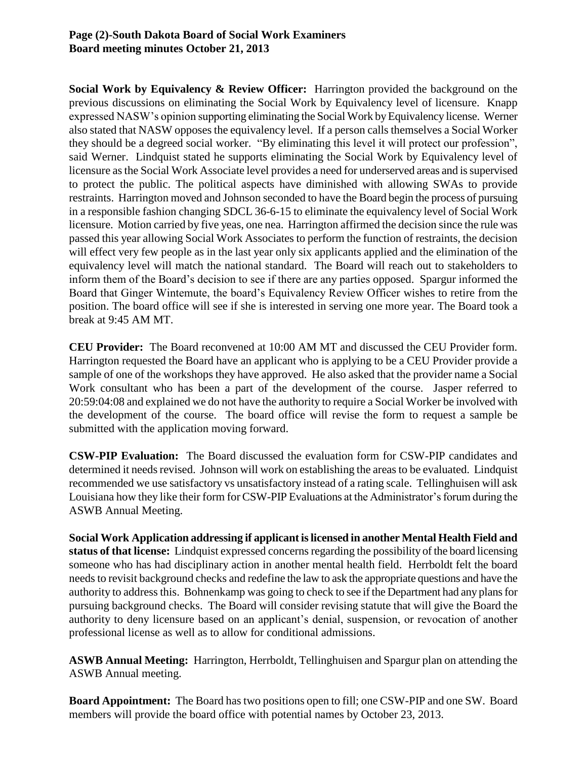### **Page (2)-South Dakota Board of Social Work Examiners Board meeting minutes October 21, 2013**

**Social Work by Equivalency & Review Officer:** Harrington provided the background on the previous discussions on eliminating the Social Work by Equivalency level of licensure. Knapp expressed NASW's opinion supporting eliminating the Social Work by Equivalency license. Werner also stated that NASW opposes the equivalency level. If a person calls themselves a Social Worker they should be a degreed social worker. "By eliminating this level it will protect our profession", said Werner. Lindquist stated he supports eliminating the Social Work by Equivalency level of licensure as the Social Work Associate level provides a need for underserved areas and is supervised to protect the public. The political aspects have diminished with allowing SWAs to provide restraints. Harrington moved and Johnson seconded to have the Board begin the process of pursuing in a responsible fashion changing SDCL 36-6-15 to eliminate the equivalency level of Social Work licensure. Motion carried by five yeas, one nea. Harrington affirmed the decision since the rule was passed this year allowing Social Work Associates to perform the function of restraints, the decision will effect very few people as in the last year only six applicants applied and the elimination of the equivalency level will match the national standard. The Board will reach out to stakeholders to inform them of the Board's decision to see if there are any parties opposed. Spargur informed the Board that Ginger Wintemute, the board's Equivalency Review Officer wishes to retire from the position. The board office will see if she is interested in serving one more year. The Board took a break at 9:45 AM MT.

**CEU Provider:** The Board reconvened at 10:00 AM MT and discussed the CEU Provider form. Harrington requested the Board have an applicant who is applying to be a CEU Provider provide a sample of one of the workshops they have approved. He also asked that the provider name a Social Work consultant who has been a part of the development of the course. Jasper referred to 20:59:04:08 and explained we do not have the authority to require a Social Worker be involved with the development of the course. The board office will revise the form to request a sample be submitted with the application moving forward.

**CSW-PIP Evaluation:** The Board discussed the evaluation form for CSW-PIP candidates and determined it needs revised. Johnson will work on establishing the areas to be evaluated. Lindquist recommended we use satisfactory vs unsatisfactory instead of a rating scale. Tellinghuisen will ask Louisiana how they like their form for CSW-PIP Evaluations at the Administrator's forum during the ASWB Annual Meeting.

**Social Work Application addressing if applicant is licensed in another Mental Health Field and status of that license:** Lindquist expressed concerns regarding the possibility of the board licensing someone who has had disciplinary action in another mental health field. Herrboldt felt the board needs to revisit background checks and redefine the law to ask the appropriate questions and have the authority to address this. Bohnenkamp was going to check to see if the Department had any plans for pursuing background checks. The Board will consider revising statute that will give the Board the authority to deny licensure based on an applicant's denial, suspension, or revocation of another professional license as well as to allow for conditional admissions.

**ASWB Annual Meeting:** Harrington, Herrboldt, Tellinghuisen and Spargur plan on attending the ASWB Annual meeting.

**Board Appointment:** The Board has two positions open to fill; one CSW-PIP and one SW. Board members will provide the board office with potential names by October 23, 2013.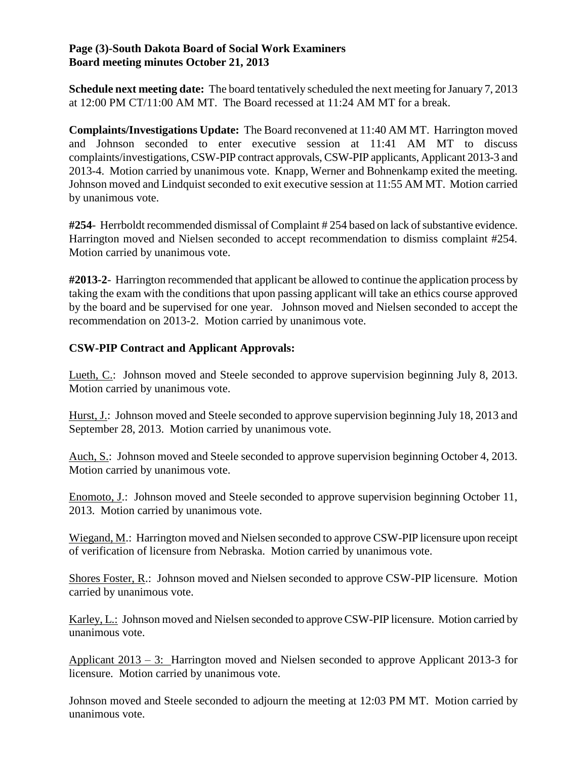### **Page (3)-South Dakota Board of Social Work Examiners Board meeting minutes October 21, 2013**

**Schedule next meeting date:** The board tentatively scheduled the next meeting for January 7, 2013 at 12:00 PM CT/11:00 AM MT. The Board recessed at 11:24 AM MT for a break.

**Complaints/Investigations Update:** The Board reconvened at 11:40 AM MT. Harrington moved and Johnson seconded to enter executive session at 11:41 AM MT to discuss complaints/investigations, CSW-PIP contract approvals, CSW-PIP applicants, Applicant 2013-3 and 2013-4. Motion carried by unanimous vote. Knapp, Werner and Bohnenkamp exited the meeting. Johnson moved and Lindquist seconded to exit executive session at 11:55 AM MT. Motion carried by unanimous vote.

#254- Herrboldt recommended dismissal of Complaint #254 based on lack of substantive evidence. Harrington moved and Nielsen seconded to accept recommendation to dismiss complaint #254. Motion carried by unanimous vote.

**#2013-2**- Harrington recommended that applicant be allowed to continue the application process by taking the exam with the conditions that upon passing applicant will take an ethics course approved by the board and be supervised for one year. Johnson moved and Nielsen seconded to accept the recommendation on 2013-2. Motion carried by unanimous vote.

## **CSW-PIP Contract and Applicant Approvals:**

Lueth, C.: Johnson moved and Steele seconded to approve supervision beginning July 8, 2013. Motion carried by unanimous vote.

Hurst, J.: Johnson moved and Steele seconded to approve supervision beginning July 18, 2013 and September 28, 2013. Motion carried by unanimous vote.

Auch, S.: Johnson moved and Steele seconded to approve supervision beginning October 4, 2013. Motion carried by unanimous vote.

Enomoto, J.: Johnson moved and Steele seconded to approve supervision beginning October 11, 2013. Motion carried by unanimous vote.

Wiegand, M.: Harrington moved and Nielsen seconded to approve CSW-PIP licensure upon receipt of verification of licensure from Nebraska. Motion carried by unanimous vote.

Shores Foster, R.: Johnson moved and Nielsen seconded to approve CSW-PIP licensure. Motion carried by unanimous vote.

Karley, L.: Johnson moved and Nielsen seconded to approve CSW-PIP licensure. Motion carried by unanimous vote.

Applicant 2013 – 3: Harrington moved and Nielsen seconded to approve Applicant 2013-3 for licensure. Motion carried by unanimous vote.

Johnson moved and Steele seconded to adjourn the meeting at 12:03 PM MT. Motion carried by unanimous vote.